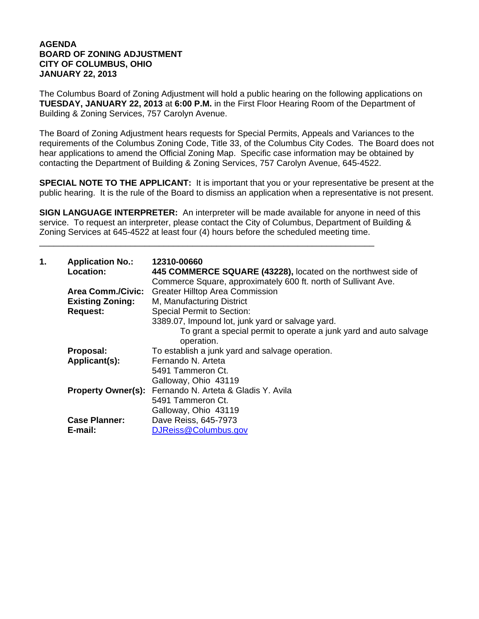## **AGENDA BOARD OF ZONING ADJUSTMENT CITY OF COLUMBUS, OHIO JANUARY 22, 2013**

The Columbus Board of Zoning Adjustment will hold a public hearing on the following applications on **TUESDAY, JANUARY 22, 2013** at **6:00 P.M.** in the First Floor Hearing Room of the Department of Building & Zoning Services, 757 Carolyn Avenue.

The Board of Zoning Adjustment hears requests for Special Permits, Appeals and Variances to the requirements of the Columbus Zoning Code, Title 33, of the Columbus City Codes. The Board does not hear applications to amend the Official Zoning Map. Specific case information may be obtained by contacting the Department of Building & Zoning Services, 757 Carolyn Avenue, 645-4522.

**SPECIAL NOTE TO THE APPLICANT:** It is important that you or your representative be present at the public hearing. It is the rule of the Board to dismiss an application when a representative is not present.

**SIGN LANGUAGE INTERPRETER:** An interpreter will be made available for anyone in need of this service. To request an interpreter, please contact the City of Columbus, Department of Building & Zoning Services at 645-4522 at least four (4) hours before the scheduled meeting time.

\_\_\_\_\_\_\_\_\_\_\_\_\_\_\_\_\_\_\_\_\_\_\_\_\_\_\_\_\_\_\_\_\_\_\_\_\_\_\_\_\_\_\_\_\_\_\_\_\_\_\_\_\_\_\_\_\_\_\_\_\_\_\_\_\_\_\_\_\_\_

| 1. | <b>Application No.:</b><br><b>Location:</b> | 12310-00660<br>445 COMMERCE SQUARE (43228), located on the northwest side of<br>Commerce Square, approximately 600 ft. north of Sullivant Ave. |
|----|---------------------------------------------|------------------------------------------------------------------------------------------------------------------------------------------------|
|    | <b>Area Comm./Civic:</b>                    | <b>Greater Hilltop Area Commission</b>                                                                                                         |
|    | <b>Existing Zoning:</b>                     | M, Manufacturing District                                                                                                                      |
|    | <b>Request:</b>                             | <b>Special Permit to Section:</b>                                                                                                              |
|    |                                             | 3389.07, Impound lot, junk yard or salvage yard.                                                                                               |
|    |                                             | To grant a special permit to operate a junk yard and auto salvage<br>operation.                                                                |
|    | Proposal:                                   | To establish a junk yard and salvage operation.                                                                                                |
|    | Applicant(s):                               | Fernando N. Arteta                                                                                                                             |
|    |                                             | 5491 Tammeron Ct.                                                                                                                              |
|    |                                             | Galloway, Ohio 43119                                                                                                                           |
|    |                                             | Property Owner(s): Fernando N. Arteta & Gladis Y. Avila                                                                                        |
|    |                                             | 5491 Tammeron Ct.                                                                                                                              |
|    |                                             | Galloway, Ohio 43119                                                                                                                           |
|    | <b>Case Planner:</b>                        | Dave Reiss, 645-7973                                                                                                                           |
|    | E-mail:                                     | DJReiss@Columbus.gov                                                                                                                           |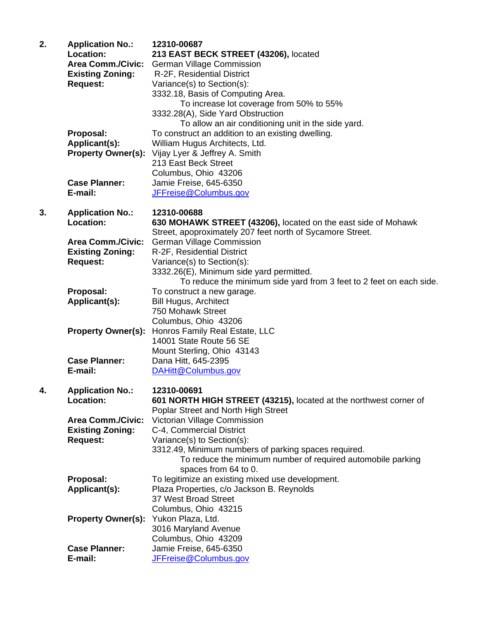| 2. | <b>Application No.:</b><br>Location:<br><b>Area Comm./Civic:</b><br><b>Existing Zoning:</b><br><b>Request:</b> | 12310-00687<br>213 EAST BECK STREET (43206), located<br><b>German Village Commission</b><br>R-2F, Residential District<br>Variance(s) to Section(s):<br>3332.18, Basis of Computing Area.<br>To increase lot coverage from 50% to 55%                                                                               |
|----|----------------------------------------------------------------------------------------------------------------|---------------------------------------------------------------------------------------------------------------------------------------------------------------------------------------------------------------------------------------------------------------------------------------------------------------------|
|    | Proposal:<br>Applicant(s):<br><b>Property Owner(s):</b><br><b>Case Planner:</b><br>E-mail:                     | 3332.28(A), Side Yard Obstruction<br>To allow an air conditioning unit in the side yard.<br>To construct an addition to an existing dwelling.<br>William Hugus Architects, Ltd.<br>Vijay Lyer & Jeffrey A. Smith<br>213 East Beck Street<br>Columbus, Ohio 43206<br>Jamie Freise, 645-6350<br>JFFreise@Columbus.gov |
| 3. | <b>Application No.:</b><br>Location:                                                                           | 12310-00688<br>630 MOHAWK STREET (43206), located on the east side of Mohawk                                                                                                                                                                                                                                        |
|    | <b>Area Comm./Civic:</b><br><b>Existing Zoning:</b><br><b>Request:</b>                                         | Street, apoproximately 207 feet north of Sycamore Street.<br><b>German Village Commission</b><br>R-2F, Residential District<br>Variance(s) to Section(s):<br>3332.26(E), Minimum side yard permitted.<br>To reduce the minimum side yard from 3 feet to 2 feet on each side.                                        |
|    | Proposal:<br>Applicant(s):                                                                                     | To construct a new garage.<br><b>Bill Hugus, Architect</b><br>750 Mohawk Street<br>Columbus, Ohio 43206                                                                                                                                                                                                             |
|    | <b>Property Owner(s):</b>                                                                                      | Honros Family Real Estate, LLC<br>14001 State Route 56 SE<br>Mount Sterling, Ohio 43143                                                                                                                                                                                                                             |
|    | <b>Case Planner:</b><br>E-mail:                                                                                | Dana Hitt, 645-2395<br>DAHitt@Columbus.gov                                                                                                                                                                                                                                                                          |
| 4. | <b>Application No.:</b><br>Location:                                                                           | 12310-00691<br>601 NORTH HIGH STREET (43215), located at the northwest corner of<br>Poplar Street and North High Street                                                                                                                                                                                             |
|    | <b>Area Comm./Civic:</b><br><b>Existing Zoning:</b><br><b>Request:</b>                                         | Victorian Village Commission<br>C-4, Commercial District<br>Variance(s) to Section(s):<br>3312.49, Minimum numbers of parking spaces required.<br>To reduce the minimum number of required automobile parking<br>spaces from 64 to 0.                                                                               |
|    | Proposal:                                                                                                      | To legitimize an existing mixed use development.                                                                                                                                                                                                                                                                    |
|    | Applicant(s):                                                                                                  | Plaza Properties, c/o Jackson B. Reynolds<br>37 West Broad Street<br>Columbus, Ohio 43215                                                                                                                                                                                                                           |
|    | <b>Property Owner(s):</b>                                                                                      | Yukon Plaza, Ltd.<br>3016 Maryland Avenue<br>Columbus, Ohio 43209                                                                                                                                                                                                                                                   |
|    | <b>Case Planner:</b>                                                                                           | Jamie Freise, 645-6350                                                                                                                                                                                                                                                                                              |
|    | E-mail:                                                                                                        | JFFreise@Columbus.gov                                                                                                                                                                                                                                                                                               |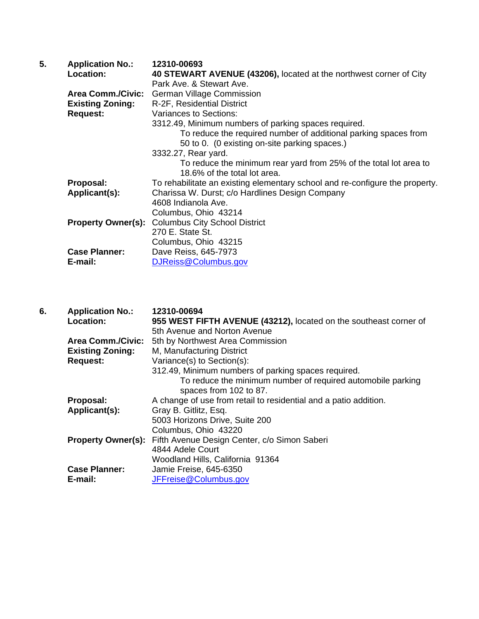| <b>Application No.:</b>   | 12310-00693                                                                  |
|---------------------------|------------------------------------------------------------------------------|
| Location:                 | 40 STEWART AVENUE (43206), located at the northwest corner of City           |
|                           | Park Ave. & Stewart Ave.                                                     |
| <b>Area Comm./Civic:</b>  | <b>German Village Commission</b>                                             |
| <b>Existing Zoning:</b>   | R-2F, Residential District                                                   |
| <b>Request:</b>           | Variances to Sections:                                                       |
|                           | 3312.49, Minimum numbers of parking spaces required.                         |
|                           | To reduce the required number of additional parking spaces from              |
|                           | 50 to 0. (0 existing on-site parking spaces.)                                |
|                           | 3332.27, Rear yard.                                                          |
|                           | To reduce the minimum rear yard from 25% of the total lot area to            |
|                           | 18.6% of the total lot area.                                                 |
| Proposal:                 | To rehabilitate an existing elementary school and re-configure the property. |
| Applicant(s):             | Charissa W. Durst; c/o Hardlines Design Company                              |
|                           | 4608 Indianola Ave.                                                          |
|                           | Columbus, Ohio 43214                                                         |
| <b>Property Owner(s):</b> | <b>Columbus City School District</b>                                         |
|                           | 270 E. State St.                                                             |
|                           | Columbus, Ohio 43215                                                         |
| <b>Case Planner:</b>      | Dave Reiss, 645-7973                                                         |
| E-mail:                   | DJReiss@Columbus.gov                                                         |
|                           |                                                                              |

| 6. | <b>Application No.:</b>   | 12310-00694                                                       |
|----|---------------------------|-------------------------------------------------------------------|
|    | <b>Location:</b>          | 955 WEST FIFTH AVENUE (43212), located on the southeast corner of |
|    |                           | 5th Avenue and Norton Avenue                                      |
|    | <b>Area Comm./Civic:</b>  | 5th by Northwest Area Commission                                  |
|    | <b>Existing Zoning:</b>   | M, Manufacturing District                                         |
|    | <b>Request:</b>           | Variance(s) to Section(s):                                        |
|    |                           | 312.49, Minimum numbers of parking spaces required.               |
|    |                           | To reduce the minimum number of required automobile parking       |
|    |                           | spaces from 102 to 87.                                            |
|    | Proposal:                 | A change of use from retail to residential and a patio addition.  |
|    | Applicant(s):             | Gray B. Gitlitz, Esq.                                             |
|    |                           | 5003 Horizons Drive, Suite 200                                    |
|    |                           | Columbus, Ohio 43220                                              |
|    | <b>Property Owner(s):</b> | Fifth Avenue Design Center, c/o Simon Saberi                      |
|    |                           | 4844 Adele Court                                                  |
|    |                           | Woodland Hills, California 91364                                  |
|    | <b>Case Planner:</b>      | Jamie Freise, 645-6350                                            |
|    | E-mail:                   | JFFreise@Columbus.gov                                             |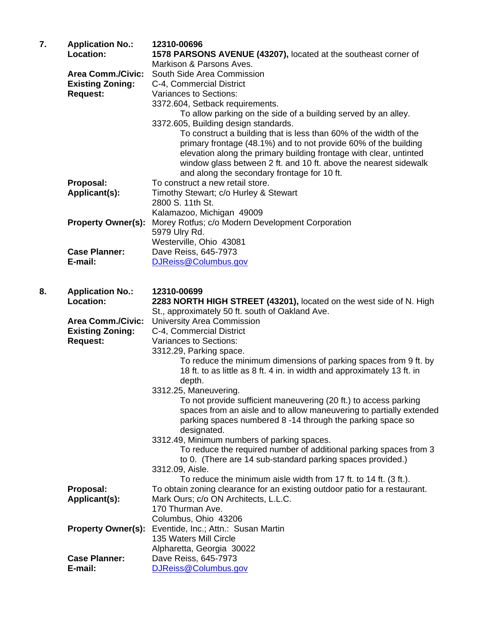| 7. | <b>Application No.:</b><br>Location: | 12310-00696<br>1578 PARSONS AVENUE (43207), located at the southeast corner of                                                                                                                                                                                                                                                                                        |
|----|--------------------------------------|-----------------------------------------------------------------------------------------------------------------------------------------------------------------------------------------------------------------------------------------------------------------------------------------------------------------------------------------------------------------------|
|    | <b>Area Comm./Civic:</b>             | Markison & Parsons Aves.<br>South Side Area Commission                                                                                                                                                                                                                                                                                                                |
|    | <b>Existing Zoning:</b>              | C-4, Commercial District                                                                                                                                                                                                                                                                                                                                              |
|    | <b>Request:</b>                      | Variances to Sections:                                                                                                                                                                                                                                                                                                                                                |
|    |                                      | 3372.604, Setback requirements.                                                                                                                                                                                                                                                                                                                                       |
|    |                                      | To allow parking on the side of a building served by an alley.                                                                                                                                                                                                                                                                                                        |
|    |                                      | 3372.605, Building design standards.<br>To construct a building that is less than 60% of the width of the<br>primary frontage (48.1%) and to not provide 60% of the building<br>elevation along the primary building frontage with clear, untinted<br>window glass between 2 ft. and 10 ft. above the nearest sidewalk<br>and along the secondary frontage for 10 ft. |
|    | Proposal:                            | To construct a new retail store.                                                                                                                                                                                                                                                                                                                                      |
|    | Applicant(s):                        | Timothy Stewart; c/o Hurley & Stewart<br>2800 S. 11th St.                                                                                                                                                                                                                                                                                                             |
|    |                                      | Kalamazoo, Michigan 49009                                                                                                                                                                                                                                                                                                                                             |
|    | <b>Property Owner(s):</b>            | Morey Rotfus; c/o Modern Development Corporation                                                                                                                                                                                                                                                                                                                      |
|    |                                      | 5979 Ulry Rd.<br>Westerville, Ohio 43081                                                                                                                                                                                                                                                                                                                              |
|    | <b>Case Planner:</b>                 | Dave Reiss, 645-7973                                                                                                                                                                                                                                                                                                                                                  |
|    | E-mail:                              | DJReiss@Columbus.gov                                                                                                                                                                                                                                                                                                                                                  |
|    |                                      |                                                                                                                                                                                                                                                                                                                                                                       |
|    |                                      |                                                                                                                                                                                                                                                                                                                                                                       |
| 8. | <b>Application No.:</b><br>Location: | 12310-00699<br>2283 NORTH HIGH STREET (43201), located on the west side of N. High<br>St., approximately 50 ft. south of Oakland Ave.                                                                                                                                                                                                                                 |
|    | <b>Area Comm./Civic:</b>             | <b>University Area Commission</b>                                                                                                                                                                                                                                                                                                                                     |
|    | <b>Existing Zoning:</b>              | C-4, Commercial District                                                                                                                                                                                                                                                                                                                                              |
|    | <b>Request:</b>                      | <b>Variances to Sections:</b>                                                                                                                                                                                                                                                                                                                                         |
|    |                                      | 3312.29, Parking space.                                                                                                                                                                                                                                                                                                                                               |
|    |                                      | To reduce the minimum dimensions of parking spaces from 9 ft. by<br>18 ft. to as little as 8 ft. 4 in. in width and approximately 13 ft. in<br>depth.                                                                                                                                                                                                                 |
|    |                                      | 3312.25, Maneuvering.                                                                                                                                                                                                                                                                                                                                                 |
|    |                                      | To not provide sufficient maneuvering (20 ft.) to access parking<br>spaces from an aisle and to allow maneuvering to partially extended<br>parking spaces numbered 8-14 through the parking space so                                                                                                                                                                  |
|    |                                      | designated.                                                                                                                                                                                                                                                                                                                                                           |
|    |                                      | 3312.49, Minimum numbers of parking spaces.<br>To reduce the required number of additional parking spaces from 3<br>to 0. (There are 14 sub-standard parking spaces provided.)                                                                                                                                                                                        |
|    |                                      | 3312.09, Aisle.                                                                                                                                                                                                                                                                                                                                                       |
|    |                                      | To reduce the minimum aisle width from 17 ft. to 14 ft. (3 ft.).                                                                                                                                                                                                                                                                                                      |
|    | Proposal:                            | To obtain zoning clearance for an existing outdoor patio for a restaurant.                                                                                                                                                                                                                                                                                            |
|    | Applicant(s):                        | Mark Ours; c/o ON Architects, L.L.C.                                                                                                                                                                                                                                                                                                                                  |
|    |                                      | 170 Thurman Ave.<br>Columbus, Ohio 43206                                                                                                                                                                                                                                                                                                                              |
|    | <b>Property Owner(s):</b>            | Eventide, Inc.; Attn.: Susan Martin                                                                                                                                                                                                                                                                                                                                   |
|    |                                      | 135 Waters Mill Circle                                                                                                                                                                                                                                                                                                                                                |
|    |                                      | Alpharetta, Georgia 30022                                                                                                                                                                                                                                                                                                                                             |
|    | <b>Case Planner:</b>                 | Dave Reiss, 645-7973                                                                                                                                                                                                                                                                                                                                                  |
|    | E-mail:                              | DJReiss@Columbus.gov                                                                                                                                                                                                                                                                                                                                                  |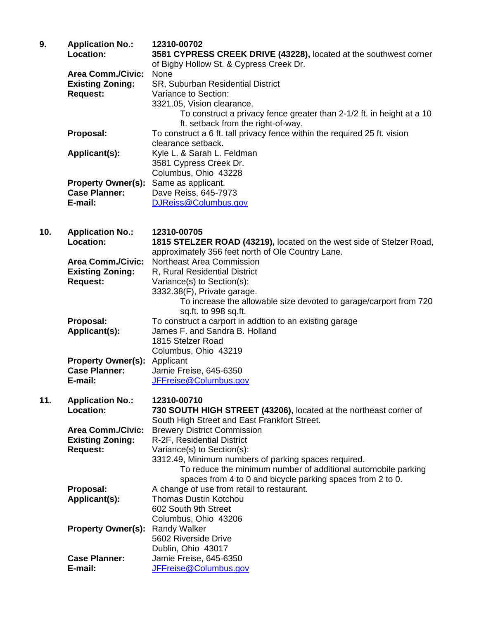| 9.  | <b>Application No.:</b><br>Location:                | 12310-00702<br>3581 CYPRESS CREEK DRIVE (43228), located at the southwest corner<br>of Bigby Hollow St. & Cypress Creek Dr. |
|-----|-----------------------------------------------------|-----------------------------------------------------------------------------------------------------------------------------|
|     | <b>Area Comm./Civic:</b><br><b>Existing Zoning:</b> | None<br>SR, Suburban Residential District                                                                                   |
|     | <b>Request:</b>                                     | Variance to Section:                                                                                                        |
|     |                                                     | 3321.05, Vision clearance.<br>To construct a privacy fence greater than 2-1/2 ft. in height at a 10                         |
|     |                                                     | ft. setback from the right-of-way.                                                                                          |
|     | Proposal:                                           | To construct a 6 ft. tall privacy fence within the required 25 ft. vision                                                   |
|     | Applicant(s):                                       | clearance setback.<br>Kyle L. & Sarah L. Feldman                                                                            |
|     |                                                     | 3581 Cypress Creek Dr.                                                                                                      |
|     |                                                     | Columbus, Ohio 43228                                                                                                        |
|     | <b>Property Owner(s):</b><br><b>Case Planner:</b>   | Same as applicant.<br>Dave Reiss, 645-7973                                                                                  |
|     | E-mail:                                             | DJReiss@Columbus.gov                                                                                                        |
|     |                                                     |                                                                                                                             |
| 10. | <b>Application No.:</b>                             | 12310-00705                                                                                                                 |
|     | Location:                                           | 1815 STELZER ROAD (43219), located on the west side of Stelzer Road,                                                        |
|     | <b>Area Comm./Civic:</b>                            | approximately 356 feet north of Ole Country Lane.<br><b>Northeast Area Commission</b>                                       |
|     | <b>Existing Zoning:</b>                             | R, Rural Residential District                                                                                               |
|     | <b>Request:</b>                                     | Variance(s) to Section(s):                                                                                                  |
|     |                                                     | 3332.38(F), Private garage.<br>To increase the allowable size devoted to garage/carport from 720                            |
|     |                                                     | sq.ft. to 998 sq.ft.                                                                                                        |
|     | Proposal:                                           | To construct a carport in addtion to an existing garage                                                                     |
|     | Applicant(s):                                       | James F. and Sandra B. Holland<br>1815 Stelzer Road                                                                         |
|     |                                                     | Columbus, Ohio 43219                                                                                                        |
|     | <b>Property Owner(s):</b>                           | Applicant                                                                                                                   |
|     | <b>Case Planner:</b><br>E-mail:                     | Jamie Freise, 645-6350<br>JFFreise@Columbus.gov                                                                             |
|     |                                                     |                                                                                                                             |
| 11. | <b>Application No.:</b>                             | 12310-00710                                                                                                                 |
|     | Location:                                           | 730 SOUTH HIGH STREET (43206), located at the northeast corner of<br>South High Street and East Frankfort Street.           |
|     | <b>Area Comm./Civic:</b>                            | <b>Brewery District Commission</b>                                                                                          |
|     | <b>Existing Zoning:</b>                             | R-2F, Residential District                                                                                                  |
|     | <b>Request:</b>                                     | Variance(s) to Section(s):<br>3312.49, Minimum numbers of parking spaces required.                                          |
|     |                                                     | To reduce the minimum number of additional automobile parking                                                               |
|     |                                                     | spaces from 4 to 0 and bicycle parking spaces from 2 to 0.                                                                  |
|     | Proposal:<br>Applicant(s):                          | A change of use from retail to restaurant.<br><b>Thomas Dustin Kotchou</b>                                                  |
|     |                                                     | 602 South 9th Street                                                                                                        |
|     |                                                     | Columbus, Ohio 43206                                                                                                        |
|     | <b>Property Owner(s):</b>                           | <b>Randy Walker</b><br>5602 Riverside Drive                                                                                 |
|     |                                                     | Dublin, Ohio 43017                                                                                                          |
|     | <b>Case Planner:</b>                                | Jamie Freise, 645-6350                                                                                                      |
|     | E-mail:                                             | JFFreise@Columbus.gov                                                                                                       |